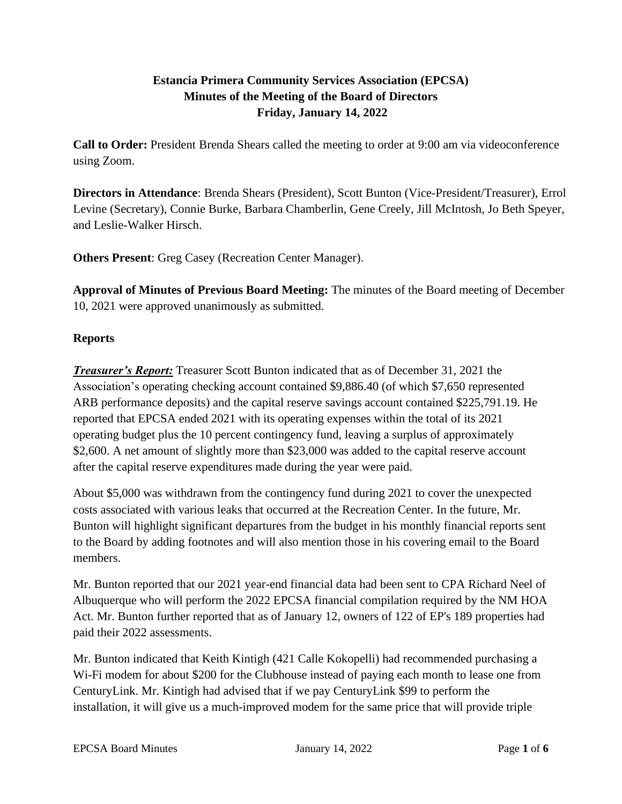# **Estancia Primera Community Services Association (EPCSA) Minutes of the Meeting of the Board of Directors Friday, January 14, 2022**

**Call to Order:** President Brenda Shears called the meeting to order at 9:00 am via videoconference using Zoom.

**Directors in Attendance**: Brenda Shears (President), Scott Bunton (Vice-President/Treasurer), Errol Levine (Secretary), Connie Burke, Barbara Chamberlin, Gene Creely, Jill McIntosh, Jo Beth Speyer, and Leslie-Walker Hirsch.

**Others Present**: Greg Casey (Recreation Center Manager).

**Approval of Minutes of Previous Board Meeting:** The minutes of the Board meeting of December 10, 2021 were approved unanimously as submitted.

## **Reports**

*Treasurer's Report:* Treasurer Scott Bunton indicated that as of December 31, 2021 the Association's operating checking account contained \$9,886.40 (of which \$7,650 represented ARB performance deposits) and the capital reserve savings account contained \$225,791.19. He reported that EPCSA ended 2021 with its operating expenses within the total of its 2021 operating budget plus the 10 percent contingency fund, leaving a surplus of approximately \$2,600. A net amount of slightly more than \$23,000 was added to the capital reserve account after the capital reserve expenditures made during the year were paid.

About \$5,000 was withdrawn from the contingency fund during 2021 to cover the unexpected costs associated with various leaks that occurred at the Recreation Center. In the future, Mr. Bunton will highlight significant departures from the budget in his monthly financial reports sent to the Board by adding footnotes and will also mention those in his covering email to the Board members.

Mr. Bunton reported that our 2021 year-end financial data had been sent to CPA Richard Neel of Albuquerque who will perform the 2022 EPCSA financial compilation required by the NM HOA Act. Mr. Bunton further reported that as of January 12, owners of 122 of EP's 189 properties had paid their 2022 assessments.

Mr. Bunton indicated that Keith Kintigh (421 Calle Kokopelli) had recommended purchasing a Wi-Fi modem for about \$200 for the Clubhouse instead of paying each month to lease one from CenturyLink. Mr. Kintigh had advised that if we pay CenturyLink \$99 to perform the installation, it will give us a much-improved modem for the same price that will provide triple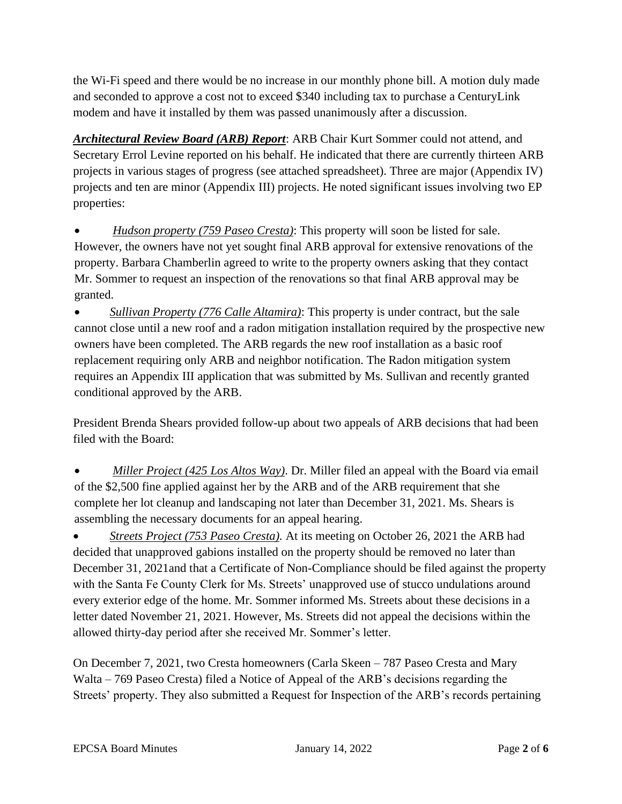the Wi-Fi speed and there would be no increase in our monthly phone bill. A motion duly made and seconded to approve a cost not to exceed \$340 including tax to purchase a CenturyLink modem and have it installed by them was passed unanimously after a discussion.

*Architectural Review Board (ARB) Report*: ARB Chair Kurt Sommer could not attend, and Secretary Errol Levine reported on his behalf. He indicated that there are currently thirteen ARB projects in various stages of progress (see attached spreadsheet). Three are major (Appendix IV) projects and ten are minor (Appendix III) projects. He noted significant issues involving two EP properties:

• *Hudson property (759 Paseo Cresta)*: This property will soon be listed for sale. However, the owners have not yet sought final ARB approval for extensive renovations of the property. Barbara Chamberlin agreed to write to the property owners asking that they contact Mr. Sommer to request an inspection of the renovations so that final ARB approval may be granted.

• *Sullivan Property (776 Calle Altamira)*: This property is under contract, but the sale cannot close until a new roof and a radon mitigation installation required by the prospective new owners have been completed. The ARB regards the new roof installation as a basic roof replacement requiring only ARB and neighbor notification. The Radon mitigation system requires an Appendix III application that was submitted by Ms. Sullivan and recently granted conditional approved by the ARB.

President Brenda Shears provided follow-up about two appeals of ARB decisions that had been filed with the Board:

• *Miller Project (425 Los Altos Way)*. Dr. Miller filed an appeal with the Board via email of the \$2,500 fine applied against her by the ARB and of the ARB requirement that she complete her lot cleanup and landscaping not later than December 31, 2021. Ms. Shears is assembling the necessary documents for an appeal hearing.

• *Streets Project (753 Paseo Cresta).* At its meeting on October 26, 2021 the ARB had decided that unapproved gabions installed on the property should be removed no later than December 31, 2021and that a Certificate of Non-Compliance should be filed against the property with the Santa Fe County Clerk for Ms. Streets' unapproved use of stucco undulations around every exterior edge of the home. Mr. Sommer informed Ms. Streets about these decisions in a letter dated November 21, 2021. However, Ms. Streets did not appeal the decisions within the allowed thirty-day period after she received Mr. Sommer's letter.

On December 7, 2021, two Cresta homeowners (Carla Skeen – 787 Paseo Cresta and Mary Walta – 769 Paseo Cresta) filed a Notice of Appeal of the ARB's decisions regarding the Streets' property. They also submitted a Request for Inspection of the ARB's records pertaining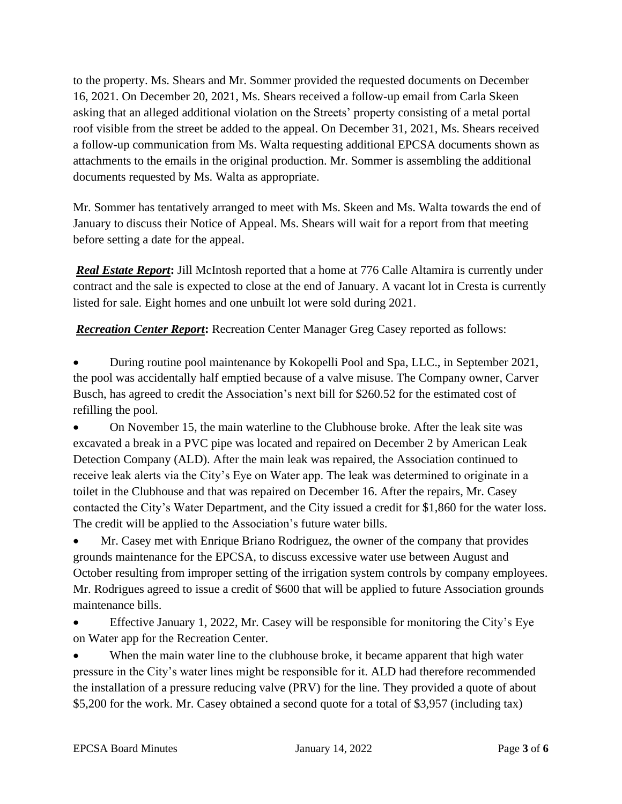to the property. Ms. Shears and Mr. Sommer provided the requested documents on December 16, 2021. On December 20, 2021, Ms. Shears received a follow-up email from Carla Skeen asking that an alleged additional violation on the Streets' property consisting of a metal portal roof visible from the street be added to the appeal. On December 31, 2021, Ms. Shears received a follow-up communication from Ms. Walta requesting additional EPCSA documents shown as attachments to the emails in the original production. Mr. Sommer is assembling the additional documents requested by Ms. Walta as appropriate.

Mr. Sommer has tentatively arranged to meet with Ms. Skeen and Ms. Walta towards the end of January to discuss their Notice of Appeal. Ms. Shears will wait for a report from that meeting before setting a date for the appeal.

*Real Estate Report***:** Jill McIntosh reported that a home at 776 Calle Altamira is currently under contract and the sale is expected to close at the end of January. A vacant lot in Cresta is currently listed for sale. Eight homes and one unbuilt lot were sold during 2021.

**Recreation Center Report:** Recreation Center Manager Greg Casey reported as follows:

• During routine pool maintenance by Kokopelli Pool and Spa, LLC., in September 2021, the pool was accidentally half emptied because of a valve misuse. The Company owner, Carver Busch, has agreed to credit the Association's next bill for \$260.52 for the estimated cost of refilling the pool.

• On November 15, the main waterline to the Clubhouse broke. After the leak site was excavated a break in a PVC pipe was located and repaired on December 2 by American Leak Detection Company (ALD). After the main leak was repaired, the Association continued to receive leak alerts via the City's Eye on Water app. The leak was determined to originate in a toilet in the Clubhouse and that was repaired on December 16. After the repairs, Mr. Casey contacted the City's Water Department, and the City issued a credit for \$1,860 for the water loss. The credit will be applied to the Association's future water bills.

• Mr. Casey met with Enrique Briano Rodriguez, the owner of the company that provides grounds maintenance for the EPCSA, to discuss excessive water use between August and October resulting from improper setting of the irrigation system controls by company employees. Mr. Rodrigues agreed to issue a credit of \$600 that will be applied to future Association grounds maintenance bills.

• Effective January 1, 2022, Mr. Casey will be responsible for monitoring the City's Eye on Water app for the Recreation Center.

When the main water line to the clubhouse broke, it became apparent that high water pressure in the City's water lines might be responsible for it. ALD had therefore recommended the installation of a pressure reducing valve (PRV) for the line. They provided a quote of about \$5,200 for the work. Mr. Casey obtained a second quote for a total of \$3,957 (including tax)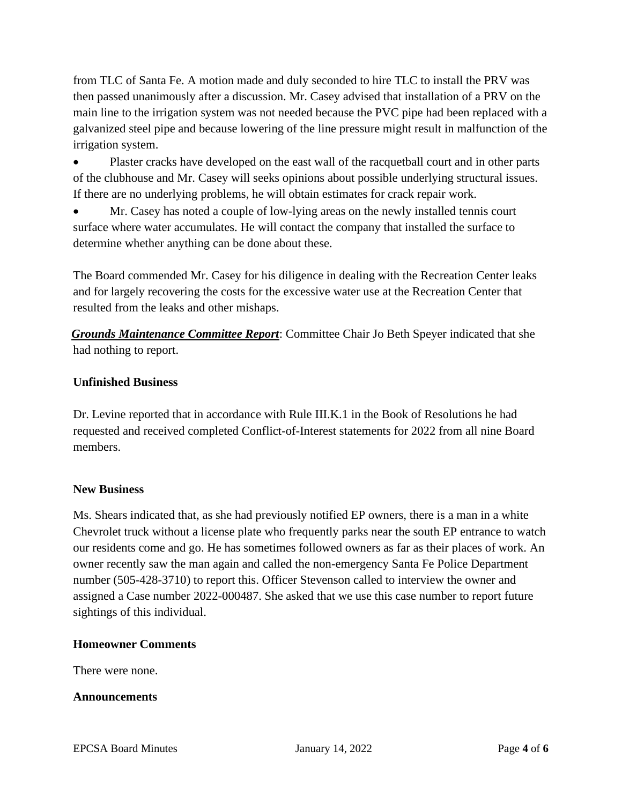from TLC of Santa Fe. A motion made and duly seconded to hire TLC to install the PRV was then passed unanimously after a discussion. Mr. Casey advised that installation of a PRV on the main line to the irrigation system was not needed because the PVC pipe had been replaced with a galvanized steel pipe and because lowering of the line pressure might result in malfunction of the irrigation system.

• Plaster cracks have developed on the east wall of the racquetball court and in other parts of the clubhouse and Mr. Casey will seeks opinions about possible underlying structural issues. If there are no underlying problems, he will obtain estimates for crack repair work.

• Mr. Casey has noted a couple of low-lying areas on the newly installed tennis court surface where water accumulates. He will contact the company that installed the surface to determine whether anything can be done about these.

The Board commended Mr. Casey for his diligence in dealing with the Recreation Center leaks and for largely recovering the costs for the excessive water use at the Recreation Center that resulted from the leaks and other mishaps.

*Grounds Maintenance Committee Report*: Committee Chair Jo Beth Speyer indicated that she had nothing to report.

## **Unfinished Business**

Dr. Levine reported that in accordance with Rule III.K.1 in the Book of Resolutions he had requested and received completed Conflict-of-Interest statements for 2022 from all nine Board members.

### **New Business**

Ms. Shears indicated that, as she had previously notified EP owners, there is a man in a white Chevrolet truck without a license plate who frequently parks near the south EP entrance to watch our residents come and go. He has sometimes followed owners as far as their places of work. An owner recently saw the man again and called the non-emergency Santa Fe Police Department number (505-428-3710) to report this. Officer Stevenson called to interview the owner and assigned a Case number 2022-000487. She asked that we use this case number to report future sightings of this individual.

### **Homeowner Comments**

There were none.

**Announcements**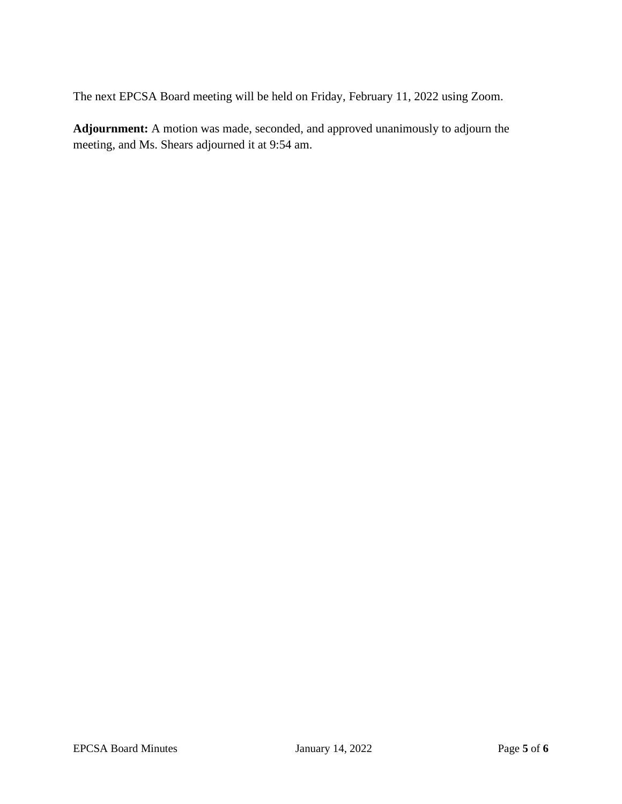The next EPCSA Board meeting will be held on Friday, February 11, 2022 using Zoom.

**Adjournment:** A motion was made, seconded, and approved unanimously to adjourn the meeting, and Ms. Shears adjourned it at 9:54 am.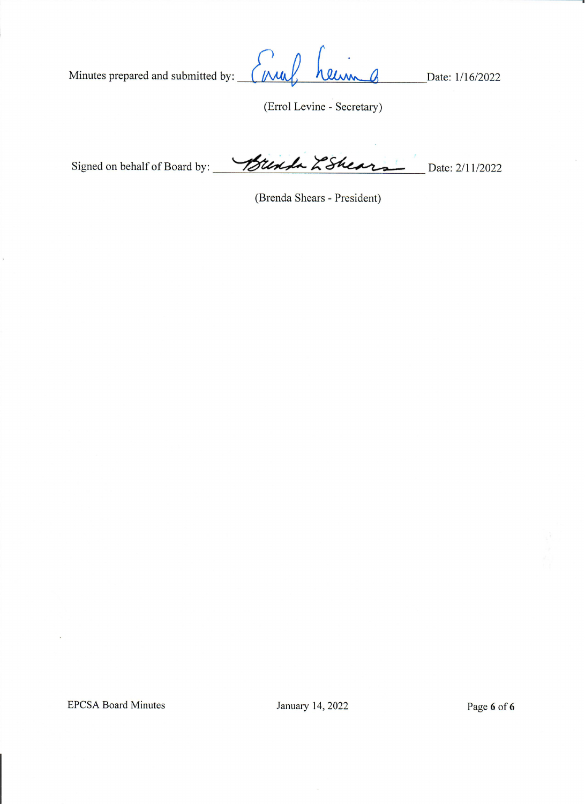Minutes prepared and submitted by:  $\overline{a}$  $(Mu)$ Date: 1/16/2022 llim  $\mathbf{v}$ 

(Errol Levine - Secretary)

Signed on behalf of Board by: Which LShear Date: 2/11/2022

(Brenda Shears - President)

**EPCSA Board Minutes** 

January 14, 2022